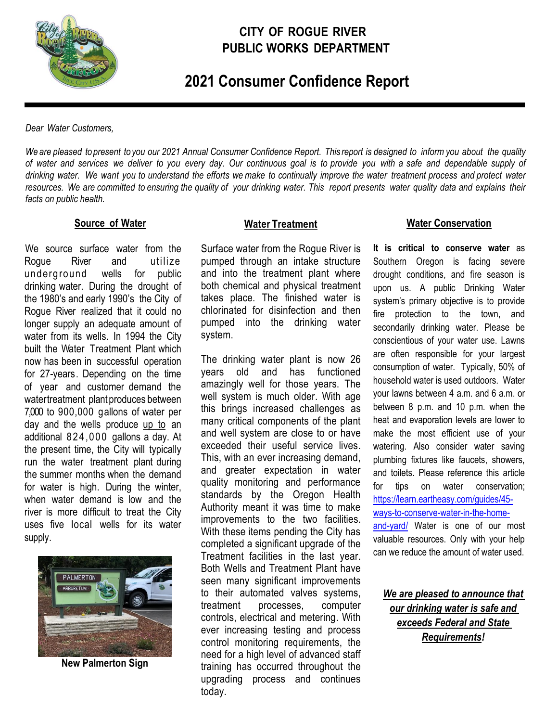

# **CITY OF ROGUE RIVER PUBLIC WORKS DEPARTMENT**

 **2021 Consumer Confidence Report**

*Dear Water Customers,*

We are pleased to present to you our 2021 Annual Consumer Confidence Report. This report is designed to inform you about the quality of water and services we deliver to you every day. Our continuous goal is to provide you with a safe and dependable supply of drinking water. We want you to understand the efforts we make to continually improve the water treatment process and protect water resources. We are committed to ensuring the quality of your drinking water. This report presents water quality data and explains their *facts on public health.*

#### **Source of Water**

We source surface water from the Rogue River and utilize underground wells for public drinking water. During the drought of the 1980's and early 1990's the City of Rogue River realized that it could no longer supply an adequate amount of water from its wells. In 1994 the City built the Water Treatment Plant which now has been in successful operation for 27-years. Depending on the time of year and customer demand the watertreatment plant produces between 7,000 to 900,000 gallons of water per day and the wells produce up to an additional 824 ,000 gallons a day. At the present time, the City will typically run the water treatment plant during the summer months when the demand for water is high. During the winter, when water demand is low and the river is more difficult to treat the City uses five local wells for its water supply.



**New Palmerton Sign** 

#### **Water Treatment**

Surface water from the Rogue River is pumped through an intake structure and into the treatment plant where both chemical and physical treatment takes place. The finished water is chlorinated for disinfection and then pumped into the drinking water system.

The drinking water plant is now 26 years old and has functioned amazingly well for those years. The well system is much older. With age this brings increased challenges as many critical components of the plant and well system are close to or have exceeded their useful service lives. This, with an ever increasing demand, and greater expectation in water quality monitoring and performance standards by the Oregon Health Authority meant it was time to make improvements to the two facilities. With these items pending the City has completed a significant upgrade of the Treatment facilities in the last year. Both Wells and Treatment Plant have seen many significant improvements to their automated valves systems, treatment processes, computer controls, electrical and metering. With ever increasing testing and process control monitoring requirements, the need for a high level of advanced staff training has occurred throughout the upgrading process and continues today.

### **Water Conservation**

**It is critical to conserve water** as Southern Oregon is facing severe drought conditions, and fire season is upon us. A public Drinking Water system's primary objective is to provide fire protection to the town, and secondarily drinking water. Please be conscientious of your water use. Lawns are often responsible for your largest consumption of water. Typically, 50% of household water is used outdoors. Water your lawns between 4 a.m. and 6 a.m. or between 8 p.m. and 10 p.m. when the heat and evaporation levels are lower to make the most efficient use of your watering. Also consider water saving plumbing fixtures like faucets, showers, and toilets. Please reference this article for tips on water conservation; [https://learn.eartheasy.com/guides/45](https://learn.eartheasy.com/guides/45-ways-to-conserve-water-in-the-home-and-yard/) [ways-to-conserve-water-in-the-home](https://learn.eartheasy.com/guides/45-ways-to-conserve-water-in-the-home-and-yard/)[and-yard/](https://learn.eartheasy.com/guides/45-ways-to-conserve-water-in-the-home-and-yard/) Water is one of our most valuable resources. Only with your help can we reduce the amount of water used.

*We are pleased to announce that our drinking water is safe and exceeds Federal and State Requirements!*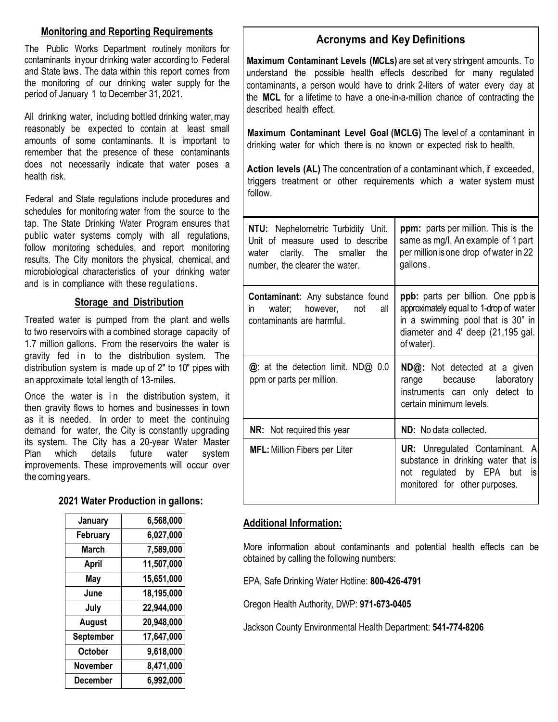# **Monitoring and Reporting Requirements**

The Public Works Department routinely monitors for contaminants inyour drinking water according to Federal and State laws. The data within this report comes from the monitoring of our drinking water supply for the period of January 1 to December 31, 2021.

All drinking water, including bottled drinking water, may reasonably be expected to contain at least small amounts of some contaminants. It is important to remember that the presence of these contaminants does not necessarily indicate that water poses a health risk.

Federal and State regulations include procedures and schedules for monitoring water from the source to the tap. The State Drinking Water Program ensures that public water systems comply with all regulations, follow monitoring schedules, and report monitoring results. The City monitors the physical, chemical, and microbiological characteristics of your drinking water and is in compliance with these regulations.

### **Storage and Distribution**

Treated water is pumped from the plant and wells to two reservoirs with a combined storage capacity of 1.7 million gallons. From the reservoirs the water is gravity fed in to the distribution system. The distribution system is made up of 2" to 10" pipes with an approximate total length of 13-miles.

Once the water is in the distribution system, it then gravity flows to homes and businesses in town as it is needed. In order to meet the continuing demand for water, the City is constantly upgrading its system. The City has a 20-year Water Master Plan which details future water system improvements. These improvements will occur over the coming years.

## **2021 Water Production in gallons:**

| January         | 6,568,000  |
|-----------------|------------|
| February        | 6,027,000  |
| March           | 7,589,000  |
| April           | 11,507,000 |
| May             | 15,651,000 |
| June            | 18,195,000 |
| July            | 22,944,000 |
| <b>August</b>   | 20,948,000 |
| September       | 17,647,000 |
| <b>October</b>  | 9,618,000  |
| <b>November</b> | 8,471,000  |
| December        | 6,992,000  |

# **Acronyms and Key Definitions**

**Maximum Contaminant Levels (MCLs)** are set at very stringent amounts. To understand the possible health effects described for many regulated contaminants, a person would have to drink 2-liters of water every day at the **MCL** for a lifetime to have a one-in-a-million chance of contracting the described health effect.

**Maximum Contaminant Level Goal (MCLG)** The level of a contaminant in drinking water for which there is no known or expected risk to health.

**Action levels (AL)** The concentration of a contaminant which, if exceeded, triggers treatment or other requirements which a water system must follow.

| <b>NTU:</b> Nephelometric Turbidity Unit.<br>Unit of measure used to describe<br>water clarity. The smaller the<br>number, the clearer the water. | <b>ppm:</b> parts per million. This is the<br>same as mg/l. An example of 1 part<br>per million is one drop of water in 22<br>gallons.                                      |
|---------------------------------------------------------------------------------------------------------------------------------------------------|-----------------------------------------------------------------------------------------------------------------------------------------------------------------------------|
| <b>Contaminant:</b> Any substance found<br>water; however, not<br>all<br>$\mathsf{in}$<br>contaminants are harmful.                               | <b>ppb:</b> parts per billion. One ppb is<br>approximately equal to 1-drop of water<br>in a swimming pool that is 30" in<br>diameter and 4' deep (21,195 gal.<br>of water). |
| @: at the detection limit. ND@ 0.0<br>ppm or parts per million.                                                                                   | <b>ND@:</b> Not detected at a given<br>range because laboratory<br>instruments can only detect to<br>certain minimum levels.                                                |
| <b>NR:</b> Not required this year                                                                                                                 | <b>ND:</b> No data collected.                                                                                                                                               |
| <b>MFL:</b> Million Fibers per Liter                                                                                                              | <b>UR:</b> Unregulated Contaminant. A<br>substance in drinking water that is<br>not regulated by EPA but<br>is<br>monitored for other purposes.                             |

# **Additional Information:**

More information about contaminants and potential health effects can be obtained by calling the following numbers:

EPA, Safe Drinking Water Hotline: **800-426-4791**

Oregon Health Authority, DWP: **971-673-0405**

Jackson County Environmental Health Department: **541-774-8206**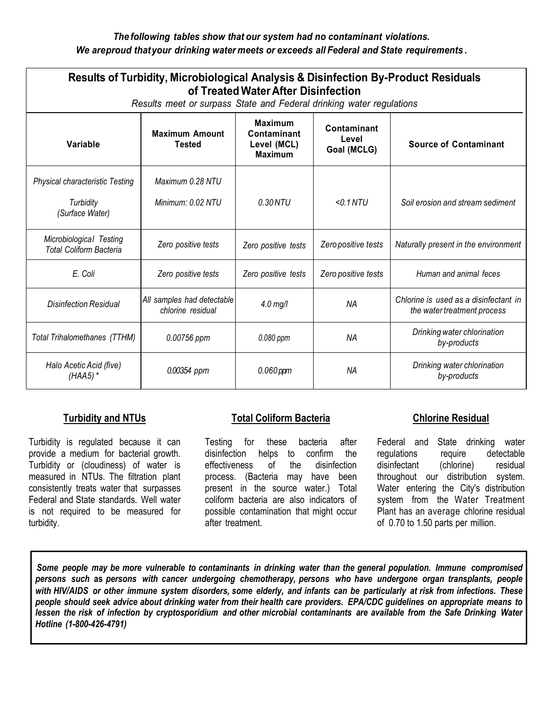### *The following tables show that our system had no contaminant violations. We areproud thatyour drinking water meets or exceeds all Federal and State requirements .*

| <b>Results of Turbidity, Microbiological Analysis &amp; Disinfection By-Product Residuals</b><br>of Treated Water After Disinfection<br>Results meet or surpass State and Federal drinking water regulations |                                                 |                                                                |                                     |                                                                      |  |
|--------------------------------------------------------------------------------------------------------------------------------------------------------------------------------------------------------------|-------------------------------------------------|----------------------------------------------------------------|-------------------------------------|----------------------------------------------------------------------|--|
| Variable                                                                                                                                                                                                     | <b>Maximum Amount</b><br><b>Tested</b>          | <b>Maximum</b><br>Contaminant<br>Level (MCL)<br><b>Maximum</b> | Contaminant<br>Level<br>Goal (MCLG) | <b>Source of Contaminant</b>                                         |  |
| <b>Physical characteristic Testing</b><br>Turbidity<br>(Surface Water)                                                                                                                                       | Maximum 0.28 NTU<br>Minimum: 0.02 NTU           | 0.30 NTU                                                       | $<$ 0.1 NTU                         | Soil erosion and stream sediment                                     |  |
| Microbiological Testing<br><b>Total Coliform Bacteria</b>                                                                                                                                                    | Zero positive tests                             | Zero positive tests                                            | Zero positive tests                 | Naturally present in the environment                                 |  |
| E. Coli                                                                                                                                                                                                      | Zero positive tests                             | Zero positive tests                                            | Zero positive tests                 | Human and animal feces                                               |  |
| Disinfection Residual                                                                                                                                                                                        | All samples had detectable<br>chlorine residual | $4.0$ mg/l                                                     | <b>NA</b>                           | Chlorine is used as a disinfectant in<br>the water treatment process |  |
| Total Trihalomethanes (TTHM)                                                                                                                                                                                 | 0.00756 ppm                                     | 0.080 ppm                                                      | NA                                  | Drinking water chlorination<br>by-products                           |  |
| Halo Acetic Acid (five)<br>$(HAA5)$ *                                                                                                                                                                        | 0.00354 ppm                                     | $0.060$ ppm                                                    | <b>NA</b>                           | Drinking water chlorination<br>by-products                           |  |

## **Turbidity and NTUs**

Turbidity is regulated because it can provide a medium for bacterial growth. Turbidity or (cloudiness) of water is measured in NTUs. The filtration plant consistently treats water that surpasses Federal and State standards. Well water is not required to be measured for turbidity.

## **Total Coliform Bacteria**

Testing for these bacteria after disinfection helps to confirm the effectiveness of the disinfection process. (Bacteria may have been present in the source water.) Total coliform bacteria are also indicators of possible contamination that might occur after treatment.

### **Chlorine Residual**

Federal and State drinking water regulations require detectable disinfectant (chlorine) residual throughout our distribution system. Water entering the City's distribution system from the Water Treatment Plant has an average chlorine residual of 0.70 to 1.50 parts per million.

Some people may be more vulnerable to contaminants in drinking water than the general population. Immune compromised *persons such* **as** *persons with cancer undergoing chemotherapy, persons who have undergone organ transplants, people* with HIV/AIDS or other immune system disorders, some elderly, and infants can be particularly at risk from infections. These people should seek advice about drinking water from their health care providers. EPA/CDC guidelines on appropriate means to lessen the risk of infection by cryptosporidium and other microbial contaminants are available from the Safe Drinking Water *Hotline (1-800-426-4791)*